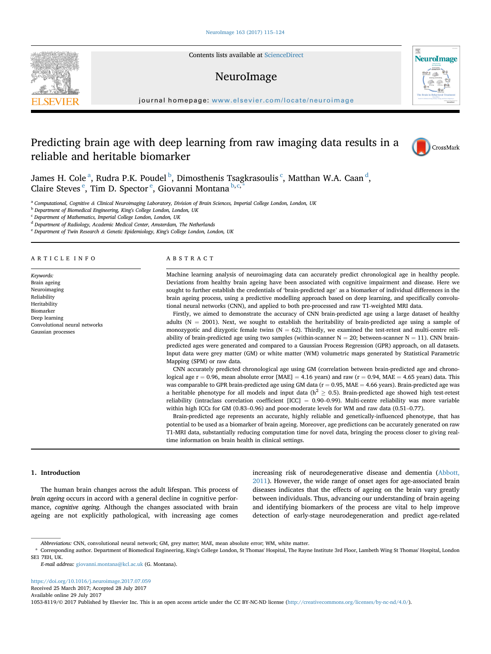Contents lists available at [ScienceDirect](www.sciencedirect.com/science/journal/10538119)

# NeuroImage

journal homepage: [www.elsevier.com/locate/neuroimage](http://www.elsevier.com/locate/neuroimage)

# Predicting brain age with deep learning from raw imaging data results in a reliable and heritable biomarker



**NeuroImage** 

James H. Cole <sup>a</sup>, Rudra P.K. Poudel <sup>b</sup>, Dimosthenis Tsagkrasoulis <sup>c</sup>, Matthan W.A. Caan <sup>d</sup>, Claire Steves<sup>e</sup>, Tim D. Spector<sup>e</sup>, Giovanni Montana b,c,\*

a Computational, Cognitive & Clinical Neuroimaging Laboratory, Division of Brain Sciences, Imperial College London, London, UK

<sup>b</sup> Department of Biomedical Engineering, King's College London, London, UK

<sup>c</sup> Department of Mathematics, Imperial College London, London, UK

<sup>d</sup> Department of Radiology, Academic Medical Center, Amsterdam, The Netherlands

<sup>e</sup> Department of Twin Research & Genetic Epidemiology, King's College London, London, UK

## ARTICLE INFO

Keywords: Brain ageing Neuroimaging Reliability Heritability Biomarker Deep learning Convolutional neural networks Gaussian processes

## ABSTRACT

Machine learning analysis of neuroimaging data can accurately predict chronological age in healthy people. Deviations from healthy brain ageing have been associated with cognitive impairment and disease. Here we sought to further establish the credentials of 'brain-predicted age' as a biomarker of individual differences in the brain ageing process, using a predictive modelling approach based on deep learning, and specifically convolutional neural networks (CNN), and applied to both pre-processed and raw T1-weighted MRI data.

Firstly, we aimed to demonstrate the accuracy of CNN brain-predicted age using a large dataset of healthy adults ( $N = 2001$ ). Next, we sought to establish the heritability of brain-predicted age using a sample of monozygotic and dizygotic female twins ( $N = 62$ ). Thirdly, we examined the test-retest and multi-centre reliability of brain-predicted age using two samples (within-scanner  $N = 20$ ; between-scanner  $N = 11$ ). CNN brainpredicted ages were generated and compared to a Gaussian Process Regression (GPR) approach, on all datasets. Input data were grey matter (GM) or white matter (WM) volumetric maps generated by Statistical Parametric Mapping (SPM) or raw data.

CNN accurately predicted chronological age using GM (correlation between brain-predicted age and chronological age  $r = 0.96$ , mean absolute error [MAE] = 4.16 years) and raw ( $r = 0.94$ , MAE = 4.65 years) data. This was comparable to GPR brain-predicted age using GM data ( $r = 0.95$ , MAE = 4.66 years). Brain-predicted age was a heritable phenotype for all models and input data ( $h^2 \ge 0.5$ ). Brain-predicted age showed high test-retest reliability (intraclass correlation coefficient  $[ICC] = 0.90-0.99$ ). Multi-centre reliability was more variable within high ICCs for GM (0.83–0.96) and poor-moderate levels for WM and raw data (0.51–0.77).

Brain-predicted age represents an accurate, highly reliable and genetically-influenced phenotype, that has potential to be used as a biomarker of brain ageing. Moreover, age predictions can be accurately generated on raw T1-MRI data, substantially reducing computation time for novel data, bringing the process closer to giving realtime information on brain health in clinical settings.

# 1. Introduction

The human brain changes across the adult lifespan. This process of brain ageing occurs in accord with a general decline in cognitive performance, cognitive ageing. Although the changes associated with brain ageing are not explicitly pathological, with increasing age comes increasing risk of neurodegenerative disease and dementia ([Abbott,](#page-8-0) [2011\)](#page-8-0). However, the wide range of onset ages for age-associated brain diseases indicates that the effects of ageing on the brain vary greatly between individuals. Thus, advancing our understanding of brain ageing and identifying biomarkers of the process are vital to help improve detection of early-stage neurodegeneration and predict age-related

[https://doi.org/10.1016/j.neuroimage.2017.07.059](http://dx.doi.org/10.1016/j.neuroimage.2017.07.059)

Received 25 March 2017; Accepted 28 July 2017

Available online 29 July 2017

1053-8119/© 2017 Published by Elsevier Inc. This is an open access article under the CC BY-NC-ND license [\(http://creativecommons.org/licenses/by-nc-nd/4.0/\)](http://creativecommons.org/licenses/by-nc-nd/4.0/).



Abbreviations: CNN, convolutional neural network; GM, grey matter; MAE, mean absolute error; WM, white matter.

<sup>\*</sup> Corresponding author. Department of Biomedical Engineering, King's College London, St Thomas' Hospital, The Rayne Institute 3rd Floor, Lambeth Wing St Thomas' Hospital, London SE1 7EH, UK.

E-mail address: [giovanni.montana@kcl.ac.uk](mailto:giovanni.montana@kcl.ac.uk) (G. Montana).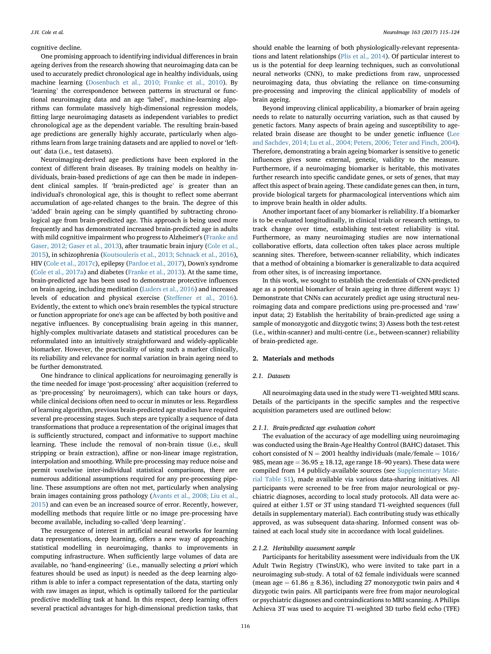## <span id="page-1-0"></span>cognitive decline.

One promising approach to identifying individual differences in brain ageing derives from the research showing that neuroimaging data can be used to accurately predict chronological age in healthy individuals, using machine learning [\(Dosenbach et al., 2010; Franke et al., 2010](#page-8-0)). By 'learning' the correspondence between patterns in structural or functional neuroimaging data and an age 'label', machine-learning algorithms can formulate massively high-dimensional regression models, fitting large neuroimaging datasets as independent variables to predict chronological age as the dependent variable. The resulting brain-based age predictions are generally highly accurate, particularly when algorithms learn from large training datasets and are applied to novel or 'leftout' data (i.e., test datasets).

Neuroimaging-derived age predictions have been explored in the context of different brain diseases. By training models on healthy individuals, brain-based predictions of age can then be made in independent clinical samples. If 'brain-predicted age' is greater than an individual's chronological age, this is thought to reflect some aberrant accumulation of age-related changes to the brain. The degree of this 'added' brain ageing can be simply quantified by subtracting chronological age from brain-predicted age. This approach is being used more frequently and has demonstrated increased brain-predicted age in adults with mild cognitive impairment who progress to Alzheimer's [\(Franke and](#page-8-0) [Gaser, 2012; Gaser et al., 2013](#page-8-0)), after traumatic brain injury ([Cole et al.,](#page-8-0) [2015\)](#page-8-0), in schizophrenia [\(Koutsouleris et al., 2013; Schnack et al., 2016\)](#page-8-0), HIV [\(Cole et al., 2017c\)](#page-8-0), epilepsy [\(Pardoe et al., 2017\)](#page-9-0), Down's syndrome ([Cole et al., 2017a](#page-8-0)) and diabetes [\(Franke et al., 2013\)](#page-8-0). At the same time, brain-predicted age has been used to demonstrate protective influences on brain ageing, including meditation ([Luders et al., 2016](#page-9-0)) and increased levels of education and physical exercise ([Steffener et al., 2016\)](#page-9-0). Evidently, the extent to which one's brain resembles the typical structure or function appropriate for one's age can be affected by both positive and negative influences. By conceptualising brain ageing in this manner, highly-complex multivariate datasets and statistical procedures can be reformulated into an intuitively straightforward and widely-applicable biomarker. However, the practicality of using such a marker clinically, its reliability and relevance for normal variation in brain ageing need to be further demonstrated.

One hindrance to clinical applications for neuroimaging generally is the time needed for image 'post-processing' after acquisition (referred to as 'pre-processing' by neuroimagers), which can take hours or days, while clinical decisions often need to occur in minutes or less. Regardless of learning algorithm, previous brain-predicted age studies have required several pre-processing stages. Such steps are typically a sequence of data transformations that produce a representation of the original images that is sufficiently structured, compact and informative to support machine learning. These include the removal of non-brain tissue (i.e., skull stripping or brain extraction), affine or non-linear image registration, interpolation and smoothing. While pre-processing may reduce noise and permit voxelwise inter-individual statistical comparisons, there are numerous additional assumptions required for any pre-processing pipeline. These assumptions are often not met, particularly when analysing brain images containing gross pathology ([Avants et al., 2008; Liu et al.,](#page-8-0) [2015\)](#page-8-0) and can even be an increased source of error. Recently, however, modelling methods that require little or no image pre-processing have become available, including so-called 'deep learning'.

The resurgence of interest in artificial neural networks for learning data representations, deep learning, offers a new way of approaching statistical modelling in neuroimaging, thanks to improvements in computing infrastructure. When sufficiently large volumes of data are available, no 'hand-engineering' (i.e., manually selecting a priori which features should be used as input) is needed as the deep learning algorithm is able to infer a compact representation of the data, starting only with raw images as input, which is optimally tailored for the particular predictive modelling task at hand. In this respect, deep learning offers several practical advantages for high-dimensional prediction tasks, that

should enable the learning of both physiologically-relevant representations and latent relationships [\(Plis et al., 2014\)](#page-9-0). Of particular interest to us is the potential for deep learning techniques, such as convolutional neural networks (CNN), to make predictions from raw, unprocessed neuroimaging data, thus obviating the reliance on time-consuming pre-processing and improving the clinical applicability of models of brain ageing.

Beyond improving clinical applicability, a biomarker of brain ageing needs to relate to naturally occurring variation, such as that caused by genetic factors. Many aspects of brain ageing and susceptibility to agerelated brain disease are thought to be under genetic influence ([Lee](#page-9-0) [and Sachdev, 2014; Lu et al., 2004; Peters, 2006; Teter and Finch, 2004\)](#page-9-0). Therefore, demonstrating a brain ageing biomarker is sensitive to genetic influences gives some external, genetic, validity to the measure. Furthermore, if a neuroimaging biomarker is heritable, this motivates further research into specific candidate genes, or sets of genes, that may affect this aspect of brain ageing. These candidate genes can then, in turn, provide biological targets for pharmacological interventions which aim to improve brain health in older adults.

Another important facet of any biomarker is reliability. If a biomarker is to be evaluated longitudinally, in clinical trials or research settings, to track change over time, establishing test-retest reliability is vital. Furthermore, as many neuroimaging studies are now international collaborative efforts, data collection often takes place across multiple scanning sites. Therefore, between-scanner reliability, which indicates that a method of obtaining a biomarker is generalizable to data acquired from other sites, is of increasing importance.

In this work, we sought to establish the credentials of CNN-predicted age as a potential biomarker of brain ageing in three different ways: 1) Demonstrate that CNNs can accurately predict age using structural neuroimaging data and compare predictions using pre-processed and 'raw' input data; 2) Establish the heritability of brain-predicted age using a sample of monozygotic and dizygotic twins; 3) Assess both the test-retest (i.e., within-scanner) and multi-centre (i.e., between-scanner) reliability of brain-predicted age.

## 2. Materials and methods

## 2.1 Datasets

All neuroimaging data used in the study were T1-weighted MRI scans. Details of the participants in the specific samples and the respective acquisition parameters used are outlined below:

# 2.1.1. Brain-predicted age evaluation cohort

The evaluation of the accuracy of age modelling using neuroimaging was conducted using the Brain-Age Healthy Control (BAHC) dataset. This cohort consisted of  $N = 2001$  healthy individuals (male/female = 1016/ 985, mean age =  $36.95 \pm 18.12$ , age range 18–90 years). These data were compiled from 14 publicly-available sources (see Supplementary Material Table S1), made available via various data-sharing initiatives. All participants were screened to be free from major neurological or psychiatric diagnoses, according to local study protocols. All data were acquired at either 1.5T or 3T using standard T1-weighted sequences (full details in supplementary material). Each contributing study was ethically approved, as was subsequent data-sharing. Informed consent was obtained at each local study site in accordance with local guidelines.

## 2.1.2. Heritability assessment sample

Participants for heritability assessment were individuals from the UK Adult Twin Registry (TwinsUK), who were invited to take part in a neuroimaging sub-study. A total of 62 female individuals were scanned (mean age  $= 61.86 \pm 8.36$ ), including 27 monozygotic twin pairs and 4 dizygotic twin pairs. All participants were free from major neurological or psychiatric diagnoses and contraindications to MRI scanning. A Philips Achieva 3T was used to acquire T1-weighted 3D turbo field echo (TFE)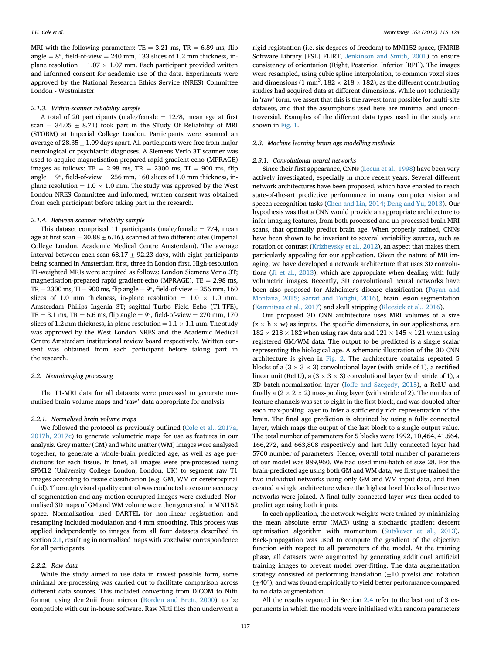MRI with the following parameters:  $TE = 3.21$  ms,  $TR = 6.89$  ms, flip angle =  $8^\circ$ , field-of-view = 240 mm, 133 slices of 1.2 mm thickness, inplane resolution  $= 1.07 \times 1.07$  mm. Each participant provided written and informed consent for academic use of the data. Experiments were approved by the National Research Ethics Service (NRES) Committee London - Westminster.

## 2.1.3. Within-scanner reliability sample

A total of 20 participants (male/female  $= 12/8$ , mean age at first scan =  $34.05 \pm 8.71$ ) took part in the STudy Of Reliability of MRI (STORM) at Imperial College London. Participants were scanned an average of  $28.35 \pm 1.09$  days apart. All participants were free from major neurological or psychiatric diagnoses. A Siemens Verio 3T scanner was used to acquire magnetisation-prepared rapid gradient-echo (MPRAGE) images as follows: TE = 2.98 ms, TR = 2300 ms, TI = 900 ms, flip angle  $= 9^{\circ}$ , field-of-view  $= 256$  mm, 160 slices of 1.0 mm thickness, inplane resolution  $= 1.0 \times 1.0$  mm. The study was approved by the West London NRES Committee and informed, written consent was obtained from each participant before taking part in the research.

#### 2.1.4. Between-scanner reliability sample

This dataset comprised 11 participants (male/female  $= 7/4$ , mean age at first scan =  $30.88 \pm 6.16$ ), scanned at two different sites (Imperial College London, Academic Medical Centre Amsterdam). The average interval between each scan  $68.17 \pm 92.23$  days, with eight participants being scanned in Amsterdam first, three in London first. High-resolution T1-weighted MRIs were acquired as follows: London Siemens Verio 3T; magnetisation-prepared rapid gradient-echo (MPRAGE),  $TE = 2.98$  ms,  $TR = 2300$  ms,  $TI = 900$  ms, flip angle  $= 9^{\circ}$ , field-of-view  $= 256$  mm, 160 slices of 1.0 mm thickness, in-plane resolution  $= 1.0 \times 1.0$  mm. Amsterdam Philips Ingenia 3T; sagittal Turbo Field Echo (T1-TFE),  $TE = 3.1$  ms,  $TR = 6.6$  ms, flip angle  $= 9^{\circ}$ , field-of-view  $= 270$  mm, 170 slices of 1.2 mm thickness, in-plane resolution =  $1.1 \times 1.1$  mm. The study was approved by the West London NRES and the Academic Medical Centre Amsterdam institutional review board respectively. Written consent was obtained from each participant before taking part in the research.

# 2.2. Neuroimaging processing

The T1-MRI data for all datasets were processed to generate normalised brain volume maps and 'raw' data appropriate for analysis.

# 2.2.1. Normalised brain volume maps

We followed the protocol as previously outlined [\(Cole et al., 2017a,](#page-8-0) [2017b, 2017c\)](#page-8-0) to generate volumetric maps for use as features in our analysis. Grey matter (GM) and white matter (WM) images were analysed together, to generate a whole-brain predicted age, as well as age predictions for each tissue. In brief, all images were pre-processed using SPM12 (University College London, London, UK) to segment raw T1 images according to tissue classification (e.g. GM, WM or cerebrospinal fluid). Thorough visual quality control was conducted to ensure accuracy of segmentation and any motion-corrupted images were excluded. Normalised 3D maps of GM and WM volume were then generated in MNI152 space. Normalization used DARTEL for non-linear registration and resampling included modulation and 4 mm smoothing. This process was applied independently to images from all four datasets described in section [2.1](#page-1-0), resulting in normalised maps with voxelwise correspondence for all participants.

## 2.2.2. Raw data

While the study aimed to use data in rawest possible form, some minimal pre-processing was carried out to facilitate comparison across different data sources. This included converting from DICOM to Nifti format, using dcm2nii from micron ([Rorden and Brett, 2000\)](#page-9-0), to be compatible with our in-house software. Raw Nifti files then underwent a

rigid registration (i.e. six degrees-of-freedom) to MNI152 space, (FMRIB Software Library [FSL] FLIRT, [Jenkinson and Smith, 2001\)](#page-8-0) to ensure consistency of orientation (Right, Posterior, Inferior [RPI]). The images were resampled, using cubic spline interpolation, to common voxel sizes and dimensions (1 mm<sup>3</sup>,  $182 \times 218 \times 182$ ), as the different contributing studies had acquired data at different dimensions. While not technically in 'raw' form, we assert that this is the rawest form possible for multi-site datasets, and that the assumptions used here are minimal and uncontroversial. Examples of the different data types used in the study are shown in [Fig. 1.](#page-3-0)

# 2.3. Machine learning brain age modelling methods

#### 2.3.1. Convolutional neural networks

Since their first appearance, CNNs [\(Lecun et al., 1998](#page-9-0)) have been very actively investigated, especially in more recent years. Several different network architectures have been proposed, which have enabled to reach state-of-the-art predictive performance in many computer vision and speech recognition tasks ([Chen and Lin, 2014; Deng and Yu, 2013\)](#page-8-0). Our hypothesis was that a CNN would provide an appropriate architecture to infer imaging features, from both processed and un-processed brain MRI scans, that optimally predict brain age. When properly trained, CNNs have been shown to be invariant to several variability sources, such as rotation or contrast ([Krizhevsky et al., 2012](#page-9-0)), an aspect that makes them particularly appealing for our application. Given the nature of MR imaging, we have developed a network architecture that uses 3D convolutions ([Ji et al., 2013\)](#page-8-0), which are appropriate when dealing with fully volumetric images. Recently, 3D convolutional neural networks have been also proposed for Alzheimer's disease classification ([Payan and](#page-9-0) [Montana, 2015; Sarraf and To](#page-9-0)fighi, 2016), brain lesion segmentation ([Kamnitsas et al., 2017](#page-8-0)) and skull stripping [\(Kleesiek et al., 2016](#page-8-0)).

Our proposed 3D CNN architecture uses MRI volumes of a size  $(z \times h \times w)$  as inputs. The specific dimensions, in our applications, are  $182 \times 218 \times 182$  when using raw data and  $121 \times 145 \times 121$  when using registered GM/WM data. The output to be predicted is a single scalar representing the biological age. A schematic illustration of the 3D CNN architecture is given in [Fig. 2](#page-3-0). The architecture contains repeated 5 blocks of a  $(3 \times 3 \times 3)$  convolutional layer (with stride of 1), a rectified linear unit (ReLU), a  $(3 \times 3 \times 3)$  convolutional layer (with stride of 1), a 3D batch-normalization layer [\(Ioffe and Szegedy, 2015](#page-8-0)), a ReLU and finally a  $(2 \times 2 \times 2)$  max-pooling layer (with stride of 2). The number of feature channels was set to eight in the first block, and was doubled after each max-pooling layer to infer a sufficiently rich representation of the brain. The final age prediction is obtained by using a fully connected layer, which maps the output of the last block to a single output value. The total number of parameters for 5 blocks were 1992, 10,464, 41,664, 166,272, and 663,808 respectively and last fully connected layer had 5760 number of parameters. Hence, overall total number of parameters of our model was 889,960. We had used mini-batch of size 28. For the brain-predicted age using both GM and WM data, we first pre-trained the two individual networks using only GM and WM input data, and then created a single architecture where the highest level blocks of these two networks were joined. A final fully connected layer was then added to predict age using both inputs.

In each application, the network weights were trained by minimizing the mean absolute error (MAE) using a stochastic gradient descent optimisation algorithm with momentum [\(Sutskever et al., 2013\)](#page-9-0). Back-propagation was used to compute the gradient of the objective function with respect to all parameters of the model. At the training phase, all datasets were augmented by generating additional artificial training images to prevent model over-fitting. The data augmentation strategy consisted of performing translation (±10 pixels) and rotation  $(\pm 40^{\circ})$ , and was found empirically to yield better performance compared to no data augmentation.

All the results reported in Section [2.4](#page-3-0) refer to the best out of 3 experiments in which the models were initialised with random parameters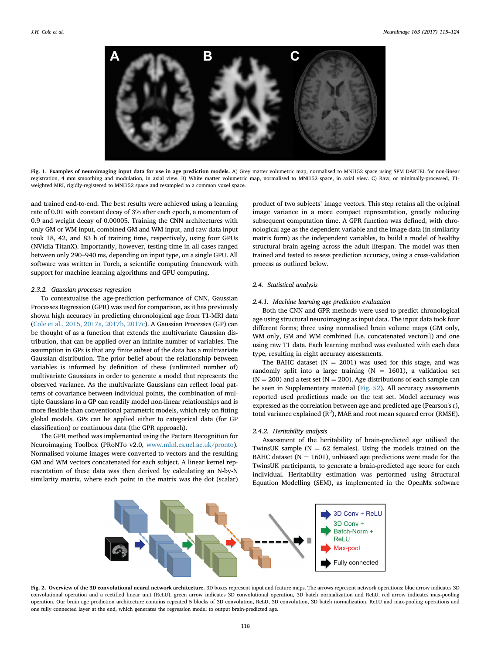<span id="page-3-0"></span>

Fig. 1. Examples of neuroimaging input data for use in age prediction models. A) Grey matter volumetric map, normalised to MNI152 space using SPM DARTEL for non-linear registration, 4 mm smoothing and modulation, in axial view. B) White matter volumetric map, normalised to MNI152 space, in axial view. C) Raw, or minimally-processed, T1 weighted MRI, rigidly-registered to MNI152 space and resampled to a common voxel space.

and trained end-to-end. The best results were achieved using a learning rate of 0.01 with constant decay of 3% after each epoch, a momentum of 0.9 and weight decay of 0.00005. Training the CNN architectures with only GM or WM input, combined GM and WM input, and raw data input took 18, 42, and 83 h of training time, respectively, using four GPUs (NVidia TitanX). Importantly, however, testing time in all cases ranged between only 290–940 ms, depending on input type, on a single GPU. All software was written in Torch, a scientific computing framework with support for machine learning algorithms and GPU computing.

#### 2.3.2. Gaussian processes regression

To contextualise the age-prediction performance of CNN, Gaussian Processes Regression (GPR) was used for comparison, as it has previously shown high accuracy in predicting chronological age from T1-MRI data ([Cole et al., 2015, 2017a, 2017b, 2017c\)](#page-8-0). A Gaussian Processes (GP) can be thought of as a function that extends the multivariate Gaussian distribution, that can be applied over an infinite number of variables. The assumption in GPs is that any finite subset of the data has a multivariate Gaussian distribution. The prior belief about the relationship between variables is informed by definition of these (unlimited number of) multivariate Gaussians in order to generate a model that represents the observed variance. As the multivariate Gaussians can reflect local patterns of covariance between individual points, the combination of multiple Gaussians in a GP can readily model non-linear relationships and is more flexible than conventional parametric models, which rely on fitting global models. GPs can be applied either to categorical data (for GP classification) or continuous data (the GPR approach).

The GPR method was implemented using the Pattern Recognition for Neuroimaging Toolbox (PRoNTo v2.0, [www.mlnl.cs.ucl.ac.uk/pronto\)](http://www.mlnl.cs.ucl.ac.uk/pronto). Normalised volume images were converted to vectors and the resulting GM and WM vectors concatenated for each subject. A linear kernel representation of these data was then derived by calculating an N-by-N similarity matrix, where each point in the matrix was the dot (scalar) product of two subjects' image vectors. This step retains all the original image variance in a more compact representation, greatly reducing subsequent computation time. A GPR function was defined, with chronological age as the dependent variable and the image data (in similarity matrix form) as the independent variables, to build a model of healthy structural brain ageing across the adult lifespan. The model was then trained and tested to assess prediction accuracy, using a cross-validation process as outlined below.

## 2.4. Statistical analysis

## 2.4.1. Machine learning age prediction evaluation

Both the CNN and GPR methods were used to predict chronological age using structural neuroimaging as input data. The input data took four different forms; three using normalised brain volume maps (GM only, WM only, GM and WM combined [i.e. concatenated vectors]) and one using raw T1 data. Each learning method was evaluated with each data type, resulting in eight accuracy assessments.

The BAHC dataset ( $N = 2001$ ) was used for this stage, and was randomly split into a large training ( $N = 1601$ ), a validation set  $(N = 200)$  and a test set  $(N = 200)$ . Age distributions of each sample can be seen in Supplementary material (Fig. S2). All accuracy assessments reported used predictions made on the test set. Model accuracy was expressed as the correlation between age and predicted age (Pearson's r), total variance explained  $(R^2)$ , MAE and root mean squared error (RMSE).

# 2.4.2. Heritability analysis

Assessment of the heritability of brain-predicted age utilised the TwinsUK sample ( $N = 62$  females). Using the models trained on the BAHC dataset ( $N = 1601$ ), unbiased age predictions were made for the TwinsUK participants, to generate a brain-predicted age score for each individual. Heritability estimation was performed using Structural Equation Modelling (SEM), as implemented in the OpenMx software



Fig. 2. Overview of the 3D convolutional neural network architecture. 3D boxes represent input and feature maps. The arrows represent network operations: blue arrow indicates 3D convolutional operation and a rectified linear unit (ReLU), green arrow indicates 3D convolutional operation, 3D batch normalization and ReLU, red arrow indicates max-pooling operation. Our brain age prediction architecture contains repeated 5 blocks of 3D convolution, ReLU, 3D convolution, 3D batch normalization, ReLU and max-pooling operations and one fully connected layer at the end, which generates the regression model to output brain-predicted age.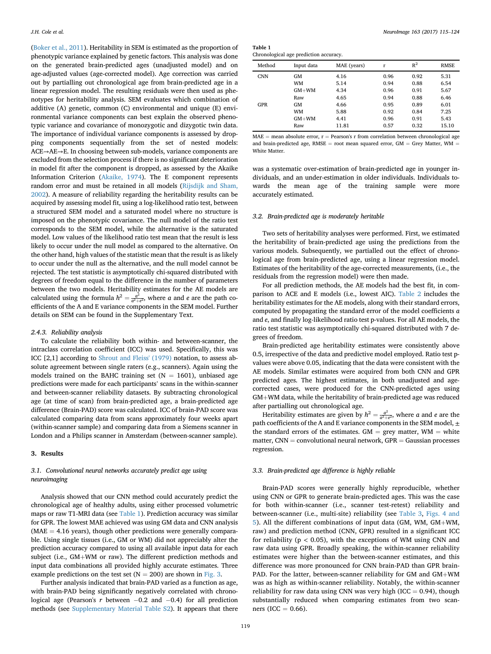([Boker et al., 2011\)](#page-8-0). Heritability in SEM is estimated as the proportion of phenotypic variance explained by genetic factors. This analysis was done on the generated brain-predicted ages (unadjusted model) and on age-adjusted values (age-corrected model). Age correction was carried out by partialling out chronological age from brain-predicted age in a linear regression model. The resulting residuals were then used as phenotypes for heritability analysis. SEM evaluates which combination of additive (A) genetic, common (C) environmental and unique (E) environmental variance components can best explain the observed phenotypic variance and covariance of monozygotic and dizygotic twin data. The importance of individual variance components is assessed by dropping components sequentially from the set of nested models: ACE→AE→E. In choosing between sub-models, variance components are excluded from the selection process if there is no significant deterioration in model fit after the component is dropped, as assessed by the Akaike Information Criterion [\(Akaike, 1974\)](#page-8-0). The E component represents random error and must be retained in all models [\(Rijsdijk and Sham,](#page-9-0) [2002\)](#page-9-0). A measure of reliability regarding the heritability results can be acquired by assessing model fit, using a log-likelihood ratio test, between a structured SEM model and a saturated model where no structure is imposed on the phenotypic covariance. The null model of the ratio test corresponds to the SEM model, while the alternative is the saturated model. Low values of the likelihood ratio test mean that the result is less likely to occur under the null model as compared to the alternative. On the other hand, high values of the statistic mean that the result is as likely to occur under the null as the alternative, and the null model cannot be rejected. The test statistic is asymptotically chi-squared distributed with degrees of freedom equal to the difference in the number of parameters between the two models. Heritability estimates for the AE models are calculated using the formula  $h^2 = \frac{a^2}{a^2 + e^2}$ , where a and e are the path coefficients of the A and E variance components in the SEM model. Further details on SEM can be found in the Supplementary Text.

# 2.4.3. Reliability analysis

To calculate the reliability both within- and between-scanner, the intraclass correlation coefficient (ICC) was used. Specifically, this was ICC [2,1] according to [Shrout and Fleiss' \(1979\)](#page-9-0) notation, to assess absolute agreement between single raters (e.g., scanners). Again using the models trained on the BAHC training set ( $N = 1601$ ), unbiased age predictions were made for each participants' scans in the within-scanner and between-scanner reliability datasets. By subtracting chronological age (at time of scan) from brain-predicted age, a brain-predicted age difference (Brain-PAD) score was calculated. ICC of brain-PAD score was calculated comparing data from scans approximately four weeks apart (within-scanner sample) and comparing data from a Siemens scanner in London and a Philips scanner in Amsterdam (between-scanner sample).

# 3. Results

# 3.1. Convolutional neural networks accurately predict age using neuroimaging

Analysis showed that our CNN method could accurately predict the chronological age of healthy adults, using either processed volumetric maps or raw T1-MRI data (see Table 1). Prediction accuracy was similar for GPR. The lowest MAE achieved was using GM data and CNN analysis  $(MAE = 4.16$  years), though other predictions were generally comparable. Using single tissues (i.e., GM or WM) did not appreciably alter the prediction accuracy compared to using all available input data for each subject (i.e.,  $GM+WM$  or raw). The different prediction methods and input data combinations all provided highly accurate estimates. Three example predictions on the test set  $(N = 200)$  are shown in [Fig. 3.](#page-5-0)

Further analysis indicated that brain-PAD varied as a function as age, with brain-PAD being significantly negatively correlated with chronological age (Pearson's r between  $-0.2$  and  $-0.4$ ) for all prediction methods (see Supplementary Material Table S2). It appears that there

| Table 1                               |  |  |
|---------------------------------------|--|--|
| Chronological age prediction accuracy |  |  |

| Method     | Input data | MAE (years) | r    | $R^2$ | <b>RMSE</b> |
|------------|------------|-------------|------|-------|-------------|
| <b>CNN</b> | GM         | 4.16        | 0.96 | 0.92  | 5.31        |
|            | WM         | 5.14        | 0.94 | 0.88  | 6.54        |
|            | $GM+WM$    | 4.34        | 0.96 | 0.91  | 5.67        |
|            | Raw        | 4.65        | 0.94 | 0.88  | 6.46        |
| GPR        | GM         | 4.66        | 0.95 | 0.89  | 6.01        |
|            | WM         | 5.88        | 0.92 | 0.84  | 7.25        |
|            | $GM+WM$    | 4.41        | 0.96 | 0.91  | 5.43        |
|            | Raw        | 11.81       | 0.57 | 0.32  | 15.10       |
|            |            |             |      |       |             |

 $MAE$  = mean absolute error,  $r$  = Pearson's r from correlation between chronological age and brain-predicted age, RMSE = root mean squared error, GM = Grey Matter, WM = White Matter.

was a systematic over-estimation of brain-predicted age in younger individuals, and an under-estimation in older individuals. Individuals towards the mean age of the training sample were more accurately estimated.

# 3.2. Brain-predicted age is moderately heritable

Two sets of heritability analyses were performed. First, we estimated the heritability of brain-predicted age using the predictions from the various models. Subsequently, we partialled out the effect of chronological age from brain-predicted age, using a linear regression model. Estimates of the heritability of the age-corrected measurements, (i.e., the residuals from the regression model) were then made.

For all prediction methods, the AE models had the best fit, in comparison to ACE and E models (i.e., lowest AIC). [Table 2](#page-5-0) includes the heritability estimates for the AE models, along with their standard errors, computed by propagating the standard error of the model coefficients a and e, and finally log-likelihood ratio test p-values. For all AE models, the ratio test statistic was asymptotically chi-squared distributed with 7 degrees of freedom.

Brain-predicted age heritability estimates were consistently above 0.5, irrespective of the data and predictive model employed. Ratio test pvalues were above 0.05, indicating that the data were consistent with the AE models. Similar estimates were acquired from both CNN and GPR predicted ages. The highest estimates, in both unadjusted and agecorrected cases, were produced for the CNN-predicted ages using  $GM+WM$  data, while the heritability of brain-predicted age was reduced after partialling out chronological age.

Heritability estimates are given by  $h^2 = \frac{a^2}{a^2 + e^2}$ , where a and e are the path coefficients of the A and E variance components in the SEM model,  $\pm$ the standard errors of the estimates.  $GM = grey$  matter,  $WM = white$ matter,  $CNN = convolutional$  neural network,  $GPR = Gaussian$  processes regression.

## 3.3. Brain-predicted age difference is highly reliable

Brain-PAD scores were generally highly reproducible, whether using CNN or GPR to generate brain-predicted ages. This was the case for both within-scanner (i.e., scanner test-retest) reliability and between-scanner (i.e., multi-site) reliability (see [Table 3,](#page-5-0) [Figs. 4 and](#page-6-0) [5](#page-6-0)). All the different combinations of input data (GM, WM, GM+WM, raw) and prediction method (CNN, GPR) resulted in a significant ICC for reliability ( $p < 0.05$ ), with the exceptions of WM using CNN and raw data using GPR. Broadly speaking, the within-scanner reliability estimates were higher than the between-scanner estimates, and this difference was more pronounced for CNN brain-PAD than GPR brain-PAD. For the latter, between-scanner reliability for GM and GM+WM was as high as within-scanner reliability. Notably, the within-scanner reliability for raw data using CNN was very high (ICC  $= 0.94$ ), though substantially reduced when comparing estimates from two scanners (ICC  $= 0.66$ ).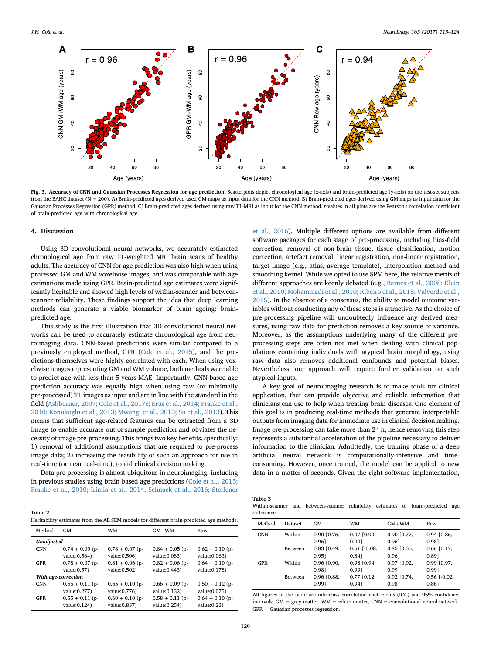<span id="page-5-0"></span>

Fig. 3. Accuracy of CNN and Gaussian Processes Regression for age prediction. Scatterplots depict chronological age (x-axis) and brain-predicted age (y-axis) on the test-set subjects from the BAHC dataset (N = 200). A) Brain-predicted ages derived used GM maps as input data for the CNN method. B) Brain-predicted ages derived using GM maps as input data for the Gaussian Processes Regression (GPR) method. C) Brain-predicted ages derived using raw T1-MRI as input for the CNN method. r-values in all plots are the Pearson's correlation coefficient of brain-predicted age with chronological age.

## 4. Discussion

Using 3D convolutional neural networks, we accurately estimated chronological age from raw T1-weighted MRI brain scans of healthy adults. The accuracy of CNN for age prediction was also high when using processed GM and WM voxelwise images, and was comparable with age estimations made using GPR. Brain-predicted age estimates were significantly heritable and showed high levels of within-scanner and betweenscanner reliability. These findings support the idea that deep learning methods can generate a viable biomarker of brain ageing: brainpredicted age.

This study is the first illustration that 3D convolutional neural networks can be used to accurately estimate chronological age from neuroimaging data. CNN-based predictions were similar compared to a previously employed method, GPR ([Cole et al., 2015\)](#page-8-0), and the predictions themselves were highly correlated with each. When using voxelwise images representing GM and WM volume, both methods were able to predict age with less than 5 years MAE. Importantly, CNN-based age prediction accuracy was equally high when using raw (or minimally pre-processed) T1 images as input and are in line with the standard in the field [\(Ashburner, 2007; Cole et al., 2017c; Erus et al., 2014; Franke et al.,](#page-8-0) [2010; Konukoglu et al., 2013; Mwangi et al., 2013; Su et al., 2013\)](#page-8-0). This means that sufficient age-related features can be extracted from a 3D image to enable accurate out-of-sample prediction and obviates the necessity of image pre-processing. This brings two key benefits, specifically: 1) removal of additional assumptions that are required to pre-process image data; 2) increasing the feasibility of such an approach for use in real-time (or near real-time), to aid clinical decision making.

Data pre-processing is almost ubiquitous in neuroimaging, including in previous studies using brain-based age predictions ([Cole et al., 2015;](#page-8-0) [Franke et al., 2010; Irimia et al., 2014; Schnack et al., 2016; Steffener](#page-8-0)

| Table 2                                                                                  |  |
|------------------------------------------------------------------------------------------|--|
| Heritability estimates from the AE SEM models for different brain-predicted age methods. |  |

| Method              | GM                  | WM                  | $GM+WM$             | Raw                 |  |  |  |  |  |
|---------------------|---------------------|---------------------|---------------------|---------------------|--|--|--|--|--|
|                     | <b>Unadjusted</b>   |                     |                     |                     |  |  |  |  |  |
| <b>CNN</b>          | $0.74 \pm 0.09$ (p- | $0.78 \pm 0.07$ (p- | $0.84 \pm 0.05$ (p- | $0.62 \pm 0.10$ (p- |  |  |  |  |  |
|                     | value: 0.584)       | value: 0.506)       | value: 0.083)       | value: 0.063)       |  |  |  |  |  |
| GPR                 | $0.78 \pm 0.07$ (p- | $0.81 \pm 0.06$ (p- | $0.82 \pm 0.06$ (p- | $0.64 \pm 0.10$ (p- |  |  |  |  |  |
|                     | value: 0.57         | value: 0.502)       | value: 0.443)       | value: 0.178)       |  |  |  |  |  |
| With age-correction |                     |                     |                     |                     |  |  |  |  |  |
| <b>CNN</b>          | $0.55 \pm 0.11$ (p- | $0.65 \pm 0.10$ (p- | $0.66 \pm 0.09$ (p- | $0.50 \pm 0.12$ (p- |  |  |  |  |  |
|                     | value: 0.277)       | value: 0.776)       | value: 0.132)       | value: 0.075)       |  |  |  |  |  |
| GPR                 | $0.55 \pm 0.11$ (p- | $0.60 \pm 0.10$ (p- | $0.58 \pm 0.11$ (p- | $0.64 \pm 0.10$ (p- |  |  |  |  |  |
|                     | value: 0.124)       | value: 0.837)       | value: 0.254)       | value: 0.23         |  |  |  |  |  |

[et al., 2016\)](#page-8-0). Multiple different options are available from different software packages for each stage of pre-processing, including bias-field correction, removal of non-brain tissue, tissue classification, motion correction, artefact removal, linear registration, non-linear registration, target image (e.g., atlas, average template), interpolation method and smoothing kernel. While we opted to use SPM here, the relative merits of different approaches are keenly debated (e.g., [Barnes et al., 2008; Klein](#page-8-0) [et al., 2010; Mohammadi et al., 2010; Ribeiro et al., 2015; Valverde et al.,](#page-8-0) [2015\)](#page-8-0). In the absence of a consensus, the ability to model outcome variables without conducting any of these steps is attractive. As the choice of pre-processing pipeline will undoubtedly influence any derived measures, using raw data for prediction removes a key source of variance. Moreover, as the assumptions underlying many of the different preprocessing steps are often not met when dealing with clinical populations containing individuals with atypical brain morphology, using raw data also removes additional confounds and potential biases. Nevertheless, our approach will require further validation on such atypical inputs.

A key goal of neuroimaging research is to make tools for clinical application, that can provide objective and reliable information that clinicians can use to help when treating brain diseases. One element of this goal is in producing real-time methods that generate interpretable outputs from imaging data for immediate use in clinical decision making. Image pre-processing can take more than 24 h, hence removing this step represents a substantial acceleration of the pipeline necessary to deliver information to the clinician. Admittedly, the training phase of a deep artificial neural network is computationally-intensive and timeconsuming. However, once trained, the model can be applied to new data in a matter of seconds. Given the right software implementation,

| Table 3     |                                                                                 |  |  |  |
|-------------|---------------------------------------------------------------------------------|--|--|--|
|             | Within-scanner and between-scanner reliability estimates of brain-predicted age |  |  |  |
| difference. |                                                                                 |  |  |  |

| Method     | Dataset        | GM                       | WM                          | $GM+WM$                  | Raw                         |
|------------|----------------|--------------------------|-----------------------------|--------------------------|-----------------------------|
| <b>CNN</b> | Within         | $0.90$ $[0.76,$<br>0.961 | $0.97$ $[0.90,$<br>0.991    | 0.90 [0.77,<br>0.961     | $0.94$ [0.86,<br>0.981      |
|            | <b>Between</b> | $0.83$ $[0.49,$<br>0.951 | $0.51$ [ $-0.08$ ]<br>0.841 | $0.85$ [0.55,<br>0.961   | $0.66$ [0.17,<br>0.891      |
| <b>GPR</b> | Within         | 0.96 [0.90,<br>0.981     | 0.98 [0.94,<br>0.991        | 0.97 [0.92,<br>0.991     | $0.99$ $[0.97,$<br>0.991    |
|            | <b>Between</b> | $0.96$ $[0.88,$<br>0.991 | $0.77$ $[0.12,$<br>0.941    | $0.92$ $[0.74,$<br>0.981 | $0.56$ [ $-0.02$ ]<br>0.861 |

All figures in the table are intraclass correlation coefficients (ICC) and 95% confidence intervals. GM = grey matter, WM = white matter, CNN = convolutional neural network.  $GPR = Gaussian$  processes regression.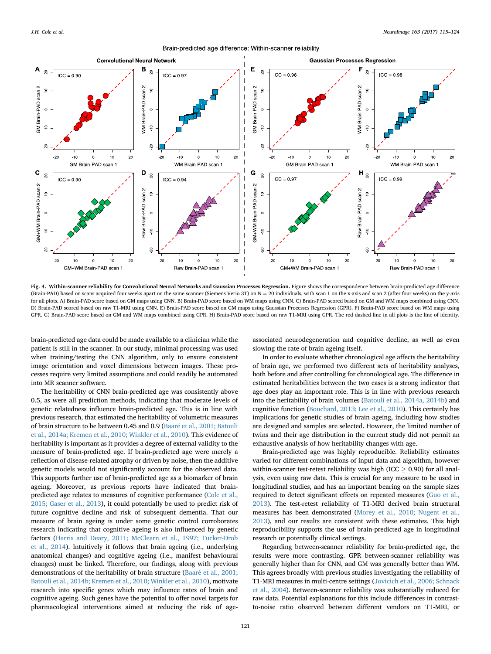<span id="page-6-0"></span>

Brain-predicted age difference: Within-scanner reliability

Fig. 4. Within-scanner reliability for Convolutional Neural Networks and Gaussian Processes Regression. Figure shows the correspondence between brain-predicted age difference (Brain-PAD) based on scans acquired four weeks apart on the same scanner (Siemens Verio 3T) on  $N = 20$  individuals, with scan 1 on the x-axis and scan 2 (after four weeks) on the y-axis for all plots. A) Brain-PAD score based on GM maps using CNN. B) Brain-PAD score based on WM maps using CNN. C) Brain-PAD scored based on GM and WM maps combined using CNN. D) Brain-PAD scored based on raw T1-MRI using CNN. E) Brain-PAD score based on GM maps using Gaussian Processes Regression (GPR). F) Brain-PAD score based on WM maps using GPR. G) Brain-PAD score based on GM and WM maps combined using GPR. H) Brain-PAD score based on raw T1-MRI using GPR. The red dashed line in all plots is the line of identity.

brain-predicted age data could be made available to a clinician while the patient is still in the scanner. In our study, minimal processing was used when training/testing the CNN algorithm, only to ensure consistent image orientation and voxel dimensions between images. These processes require very limited assumptions and could readily be automated into MR scanner software.

The heritability of CNN brain-predicted age was consistently above 0.5, as were all prediction methods, indicating that moderate levels of genetic relatedness influence brain-predicted age. This is in line with previous research, that estimated the heritability of volumetric measures of brain structure to be between 0.45 and 0.9 ([Baar](#page-8-0)e [et al., 2001; Batouli](#page-8-0) [et al., 2014a; Kremen et al., 2010; Winkler et al., 2010](#page-8-0)). This evidence of heritability is important as it provides a degree of external validity to the measure of brain-predicted age. If brain-predicted age were merely a reflection of disease-related atrophy or driven by noise, then the additive genetic models would not significantly account for the observed data. This supports further use of brain-predicted age as a biomarker of brain ageing. Moreover, as previous reports have indicated that brainpredicted age relates to measures of cognitive performance ([Cole et al.,](#page-8-0) [2015; Gaser et al., 2013\)](#page-8-0), it could potentially be used to predict risk of future cognitive decline and risk of subsequent dementia. That our measure of brain ageing is under some genetic control corroborates research indicating that cognitive ageing is also influenced by genetic factors ([Harris and Deary, 2011; McClearn et al., 1997; Tucker-Drob](#page-8-0) [et al., 2014\)](#page-8-0). Intuitively it follows that brain ageing (i.e., underlying anatomical changes) and cognitive ageing (i.e., manifest behavioural changes) must be linked. Therefore, our findings, along with previous demonstrations of the heritability of brain structure [\(Baar](#page-8-0)é et al., 2001; [Batouli et al., 2014b; Kremen et al., 2010; Winkler et al., 2010](#page-8-0)), motivate research into specific genes which may influence rates of brain and cognitive ageing. Such genes have the potential to offer novel targets for pharmacological interventions aimed at reducing the risk of age-

associated neurodegeneration and cognitive decline, as well as even slowing the rate of brain ageing itself.

In order to evaluate whether chronological age affects the heritability of brain age, we performed two different sets of heritability analyses, both before and after controlling for chronological age. The difference in estimated heritabilities between the two cases is a strong indicator that age does play an important role. This is in line with previous research into the heritability of brain volumes ([Batouli et al., 2014a, 2014b](#page-8-0)) and cognitive function [\(Bouchard, 2013; Lee et al., 2010\)](#page-8-0). This certainly has implications for genetic studies of brain ageing, including how studies are designed and samples are selected. However, the limited number of twins and their age distribution in the current study did not permit an exhaustive analysis of how heritability changes with age.

Brain-predicted age was highly reproducible. Reliability estimates varied for different combinations of input data and algorithm, however within-scanner test-retest reliability was high (ICC  $\geq$  0.90) for all analysis, even using raw data. This is crucial for any measure to be used in longitudinal studies, and has an important bearing on the sample sizes required to detect significant effects on repeated measures [\(Guo et al.,](#page-8-0) [2013\)](#page-8-0). The test-retest reliability of T1-MRI derived brain structural measures has been demonstrated [\(Morey et al., 2010; Nugent et al.,](#page-9-0) [2013\)](#page-9-0), and our results are consistent with these estimates. This high reproducibility supports the use of brain-predicted age in longitudinal research or potentially clinical settings.

Regarding between-scanner reliability for brain-predicted age, the results were more contrasting. GPR between-scanner reliability was generally higher than for CNN, and GM was generally better than WM. This agrees broadly with previous studies investigating the reliability of T1-MRI measures in multi-centre settings ([Jovicich et al., 2006; Schnack](#page-8-0) [et al., 2004](#page-8-0)). Between-scanner reliability was substantially reduced for raw data. Potential explanations for this include differences in contrastto-noise ratio observed between different vendors on T1-MRI, or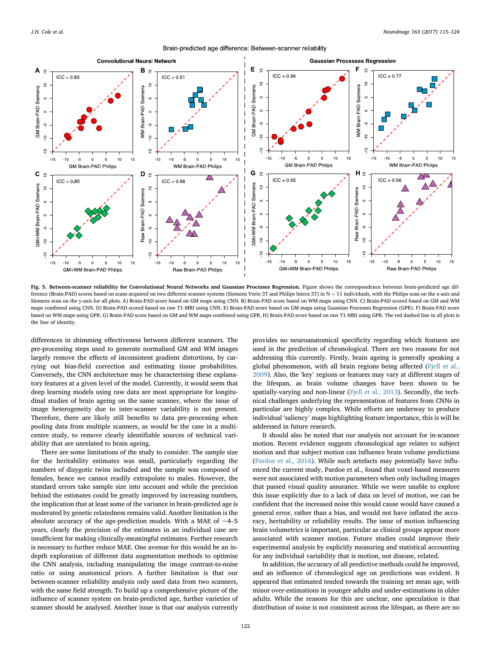



Fig. 5. Between-scanner reliability for Convolutional Neural Networks and Gaussian Processes Regression. Figure shows the correspondence between brain-predicted age difference (Brain-PAD) scores based on scans acquired on two different scanner systems (Siemens Verio 3T and Philips Intera 3T) in  $N = 11$  individuals, with the Philips scan on the x-axis and Siemens scan on the y-axis for all plots. A) Brain-PAD score based on GM maps using CNN. B) Brain-PAD score based on WM maps using CNN. C) Brain-PAD scored based on GM and WM maps combined using CNN. D) Brain-PAD scored based on raw T1-MRI using CNN. E) Brain-PAD score based on GM maps using Gaussian Processes Regression (GPR). F) Brain-PAD score based on WM maps using GPR. G) Brain-PAD score based on GM and WM maps combined using GPR. H) Brain-PAD score based on raw T1-MRI using GPR. The red dashed line in all plots is the line of identity.

differences in shimming effectiveness between different scanners. The pre-processing steps used to generate normalised GM and WM images largely remove the effects of inconsistent gradient distortions, by carrying out bias-field correction and estimating tissue probabilities. Conversely, the CNN architecture may be characterising these explanatory features at a given level of the model. Currently, it would seem that deep learning models using raw data are most appropriate for longitudinal studies of brain ageing on the same scanner, where the issue of image heterogeneity due to inter-scanner variability is not present. Therefore, there are likely still benefits to data pre-processing when pooling data from multiple scanners, as would be the case in a multicentre study, to remove clearly identifiable sources of technical variability that are unrelated to brain ageing.

There are some limitations of the study to consider. The sample size for the heritability estimates was small, particularly regarding the numbers of dizygotic twins included and the sample was composed of females, hence we cannot readily extrapolate to males. However, the standard errors take sample size into account and while the precision behind the estimates could be greatly improved by increasing numbers, the implication that at least some of the variance in brain-predicted age is moderated by genetic relatedness remains valid. Another limitation is the absolute accuracy of the age-prediction models. With a MAE of  $\sim$ 4–5 years, clearly the precision of the estimates in an individual case are insufficient for making clinically-meaningful estimates. Further research is necessary to further reduce MAE. One avenue for this would be an indepth exploration of different data augmentation methods to optimise the CNN analysis, including manipulating the image contrast-to-noise ratio or using anatomical priors. A further limitation is that our between-scanner reliability analysis only used data from two scanners, with the same field strength. To build up a comprehensive picture of the influence of scanner system on brain-predicted age, further varieties of scanner should be analysed. Another issue is that our analysis currently

provides no neuroanatomical specificity regarding which features are used in the prediction of chronological. There are two reasons for not addressing this currently. Firstly, brain ageing is generally speaking a global phenomenon, with all brain regions being affected [\(Fjell et al.,](#page-8-0) [2009\)](#page-8-0). Also, the 'key' regions or features may vary at different stages of the lifespan, as brain volume changes have been shown to be spatially-varying and non-linear ([Fjell et al., 2013\)](#page-8-0). Secondly, the technical challenges underlying the representation of features from CNNs in particular are highly complex. While efforts are underway to produce individual 'saliency' maps highlighting feature importance, this is will be addressed in future research.

It should also be noted that our analysis not account for in-scanner motion. Recent evidence suggests chronological age relates to subject motion and that subject motion can influence brain volume predictions ([Pardoe et al., 2016\)](#page-9-0). While such artefacts may potentially have influenced the current study, Pardoe et al., found that voxel-based measures were not associated with motion parameters when only including images that passed visual quality assurance. While we were unable to explore this issue explicitly due to a lack of data on level of motion, we can be confident that the increased noise this would cause would have caused a general error, rather than a bias, and would not have inflated the accuracy, heritability or reliability results. The issue of motion influencing brain volumetrics is important, particular as clinical groups appear more associated with scanner motion. Future studies could improve their experimental analysis by explicitly measuring and statistical accounting for any individual variability that is motion, not disease, related.

In addition, the accuracy of all predictive methods could be improved, and an influence of chronological age on predictions was evident. It appeared that estimated tended towards the training set mean age, with minor over-estimations in younger adults and under-estimations in older adults. While the reasons for this are unclear, one speculation is that distribution of noise is not consistent across the lifespan, as there are no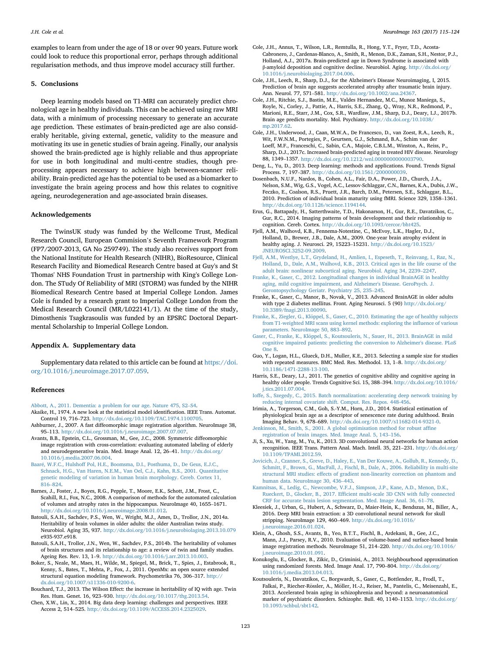<span id="page-8-0"></span>examples to learn from under the age of 18 or over 90 years. Future work could look to reduce this proportional error, perhaps through additional regularisation methods, and thus improve model accuracy still further.

#### 5. Conclusions

Deep learning models based on T1-MRI can accurately predict chronological age in healthy individuals. This can be achieved using raw MRI data, with a minimum of processing necessary to generate an accurate age prediction. These estimates of brain-predicted age are also considerably heritable, giving external, genetic, validity to the measure and motivating its use in genetic studies of brain ageing. Finally, our analysis showed the brain-predicted age is highly reliable and thus appropriate for use in both longitudinal and multi-centre studies, though preprocessing appears necessary to achieve high between-scanner reliability. Brain-predicted age has the potential to be used as a biomarker to investigate the brain ageing process and how this relates to cognitive ageing, neurodegeneration and age-associated brain diseases.

## Acknowledgements

The TwinsUK study was funded by the Wellcome Trust, Medical Research Council, European Commision's Seventh Framework Program (FP7/2007-2013, GA No 259749). The study also receives support from the National Institute for Health Research (NIHR), BioResource, Clinical Research Facility and Biomedical Research Centre based at Guy's and St Thomas' NHS Foundation Trust in partnership with King's College London. The STudy Of Reliability of MRI (STORM) was funded by the NIHR Biomedical Research Centre based at Imperial College London. James Cole is funded by a research grant to Imperial College London from the Medical Research Council (MR/L022141/1). At the time of the study, Dimosthenis Tsagkrasoulis was funded by an EPSRC Doctoral Departmental Scholarship to Imperial College London.

#### Appendix A. Supplementary data

Supplementary data related to this article can be found at [https://doi.](https://doi.org/10.1016/j.neuroimage.2017.07.059) [org/10.1016/j.neuroimage.2017.07.059](https://doi.org/10.1016/j.neuroimage.2017.07.059).

#### References

- [Abbott, A., 2011. Dementia: a problem for our age. Nature 475, S2](http://refhub.elsevier.com/S1053-8119(17)30640-7/sref1)–[S4.](http://refhub.elsevier.com/S1053-8119(17)30640-7/sref1)
- Akaike, H., 1974. A new look at the statistical model identification. IEEE Trans. Automat. Control 19, 716–723. [http://dx.doi.org/10.1109/TAC.1974.1100705.](http://dx.doi.org/10.1109/TAC.1974.1100705)
- Ashburner, J., 2007. A fast diffeomorphic image registration algorithm. NeuroImage 38, <sup>95</sup>–113. <http://dx.doi.org/10.1016/j.neuroimage.2007.07.007>.
- Avants, B.B., Epstein, C.L., Grossman, M., Gee, J.C., 2008. Symmetric diffeomorphic image registration with cross-correlation: evaluating automated labeling of elderly and neurodegenerative brain. Med. Image Anal. 12, 26–41. [http://dx.doi.org/](http://dx.doi.org/10.1016/j.media.2007.06.004) [10.1016/j.media.2007.06.004](http://dx.doi.org/10.1016/j.media.2007.06.004).
- [Baar](http://refhub.elsevier.com/S1053-8119(17)30640-7/sref5)[e, W.F.C., Hulshoff Pol, H.E., Boomsma, D.I., Posthuma, D., De Geus, E.J.C.,](http://refhub.elsevier.com/S1053-8119(17)30640-7/sref5) [Schnack, H.G., Van Haren, N.E.M., Van Oel, C.J., Kahn, R.S., 2001. Quantitative](http://refhub.elsevier.com/S1053-8119(17)30640-7/sref5) [genetic modeling of variation in human brain morphology. Cereb. Cortex 11,](http://refhub.elsevier.com/S1053-8119(17)30640-7/sref5) [816](http://refhub.elsevier.com/S1053-8119(17)30640-7/sref5)–[824](http://refhub.elsevier.com/S1053-8119(17)30640-7/sref5).
- Barnes, J., Foster, J., Boyes, R.G., Pepple, T., Moore, E.K., Schott, J.M., Frost, C., Scahill, R.I., Fox, N.C., 2008. A comparison of methods for the automated calculation of volumes and atrophy rates in the hippocampus. NeuroImage 40, 1655–1671. <http://dx.doi.org/10.1016/j.neuroimage.2008.01.012>.
- Batouli, S.A.H., Sachdev, P.S., Wen, W., Wright, M.J., Ames, D., Trollor, J.N., 2014a. Heritability of brain volumes in older adults: the older Australian twins study. Neurobiol. Aging 35, 937. <http://dx.doi.org/10.1016/j.neurobiolaging.2013.10.079> e935-937.e918.
- Batouli, S.A.H., Trollor, J.N., Wen, W., Sachdev, P.S., 2014b. The heritability of volumes of brain structures and its relationship to age: a review of twin and family studies. Ageing Res. Rev. 13, 1–9. <http://dx.doi.org/10.1016/j.arr.2013.10.003>.
- Boker, S., Neale, M., Maes, H., Wilde, M., Spiegel, M., Brick, T., Spies, J., Estabrook, R., Kenny, S., Bates, T., Mehta, P., Fox, J., 2011. OpenMx: an open source extended structural equation modeling framework. Psychometrika 76, 306–317. [http://](http://dx.doi.org/10.1007/s11336-010-9200-6) [dx.doi.org/10.1007/s11336-010-9200-6.](http://dx.doi.org/10.1007/s11336-010-9200-6)
- Bouchard, T.J., 2013. The Wilson Effect: the increase in heritability of IQ with age. Twin Res. Hum. Genet. 16, 923–930. [http://dx.doi.org/10.1017/thg.2013.54.](http://dx.doi.org/10.1017/thg.2013.54)
- Chen, X.W., Lin, X., 2014. Big data deep learning: challenges and perspectives. IEEE Access 2, 514–525. [http://dx.doi.org/10.1109/ACCESS.2014.2325029.](http://dx.doi.org/10.1109/ACCESS.2014.2325029)
- Cole, J.H., Annus, T., Wilson, L.R., Remtulla, R., Hong, Y.T., Fryer, T.D., Acosta-Cabronero, J., Cardenas-Blanco, A., Smith, R., Menon, D.K., Zaman, S.H., Nestor, P.J., Holland, A.J., 2017a. Brain-predicted age in Down Syndrome is associated with β-amyloid deposition and cognitive decline. Neurobiol. Aging. [http://dx.doi.org/](http://dx.doi.org/10.1016/j.neurobiolaging.2017.04.006) [10.1016/j.neurobiolaging.2017.04.006](http://dx.doi.org/10.1016/j.neurobiolaging.2017.04.006).
- Cole, J.H., Leech, R., Sharp, D.J., for the Alzheimer's Disease Neuroimaging, I, 2015. Prediction of brain age suggests accelerated atrophy after traumatic brain injury. Ann. Neurol. 77, 571–581. <http://dx.doi.org/10.1002/ana.24367>.
- Cole, J.H., Ritchie, S.J., Bastin, M.E., Valdes Hernandez, M.C., Munoz Maniega, S., Royle, N., Corley, J., Pattie, A., Harris, S.E., Zhang, Q., Wray, N.R., Redmond, P., Marioni, R.E., Starr, J.M., Cox, S.R., Wardlaw, J.M., Sharp, D.J., Deary, I.J., 2017b. Brain age predicts mortality. Mol. Psychiatry. [http://dx.doi.org/10.1038/](http://dx.doi.org/10.1038/mp.2017.62) [mp.2017.62](http://dx.doi.org/10.1038/mp.2017.62).
- Cole, J.H., Underwood, J., Caan, M.W.A., De Francesco, D., van Zoest, R.A., Leech, R., Wit, F.W.N.M., Portegies, P., Geurtsen, G.J., Schmand, B.A., Schim van der Loeff, M.F., Franceschi, C., Sabin, C.A., Majoie, C.B.L.M., Winston, A., Reiss, P., Sharp, D.J., 2017c. Increased brain-predicted aging in treated HIV disease. Neurology 88, 1349–1357. <http://dx.doi.org/10.1212/wnl.0000000000003790>.
- Deng, L., Yu, D., 2013. Deep learning: methods and applications. Found. Trends Signal Process. 7, 197–387. <http://dx.doi.org/10.1561/2000000039>.
- Dosenbach, N.U.F., Nardos, B., Cohen, A.L., Fair, D.A., Power, J.D., Church, J.A., Nelson, S.M., Wig, G.S., Vogel, A.C., Lessov-Schlaggar, C.N., Barnes, K.A., Dubis, J.W., Feczko, E., Coalson, R.S., Pruett, J.R., Barch, D.M., Petersen, S.E., Schlaggar, B.L., 2010. Prediction of individual brain maturity using fMRI. Science 329, 1358–1361. [http://dx.doi.org/10.1126/science.1194144.](http://dx.doi.org/10.1126/science.1194144)
- Erus, G., Battapady, H., Satterthwaite, T.D., Hakonarson, H., Gur, R.E., Davatzikos, C., Gur, R.C., 2014. Imaging patterns of brain development and their relationship to cognition. Cereb. Cortex. [http://dx.doi.org/10.1093/cercor/bht425.](http://dx.doi.org/10.1093/cercor/bht425)
- Fjell, A.M., Walhovd, K.B., Fennema-Notestine, C., McEvoy, L.K., Hagler, D.J., Holland, D., Brewer, J.B., Dale, A.M., 2009. One-year brain atrophy evident in healthy aging. J. Neurosci. 29, 15223–15231. [http://dx.doi.org/10.1523/](http://dx.doi.org/10.1523/JNEUROSCI.3252-09.2009) [JNEUROSCI.3252-09.2009.](http://dx.doi.org/10.1523/JNEUROSCI.3252-09.2009)
- [Fjell, A.M., Westlye, L.T., Grydeland, H., Amlien, I., Espeseth, T., Reinvang, I., Raz, N.,](http://refhub.elsevier.com/S1053-8119(17)30640-7/sref20) [Holland, D., Dale, A.M., Walhovd, K.B., 2013. Critical ages in the life course of the](http://refhub.elsevier.com/S1053-8119(17)30640-7/sref20) [adult brain: nonlinear subcortical aging. Neurobiol. Aging 34, 2239](http://refhub.elsevier.com/S1053-8119(17)30640-7/sref20)–[2247.](http://refhub.elsevier.com/S1053-8119(17)30640-7/sref20)
- [Franke, K., Gaser, C., 2012. Longitudinal changes in individual BrainAGE in healthy](http://refhub.elsevier.com/S1053-8119(17)30640-7/sref21) [aging, mild cognitive impairment, and Alzheimer's Disease. GeroPsych. J.](http://refhub.elsevier.com/S1053-8119(17)30640-7/sref21) [Gerontopsychology Geriatr. Psychiatry 25, 235](http://refhub.elsevier.com/S1053-8119(17)30640-7/sref21)–[245](http://refhub.elsevier.com/S1053-8119(17)30640-7/sref21).
- Franke, K., Gaser, C., Manor, B., Novak, V., 2013. Advanced BrainAGE in older adults with type 2 diabetes mellitus. Front. Aging Neurosci. 5 (90) [http://dx.doi.org/](http://dx.doi.org/10.3389/fnagi.2013.00090) [10.3389/fnagi.2013.00090.](http://dx.doi.org/10.3389/fnagi.2013.00090)
- Franke, K., Ziegler, G., Klöppel, S., Gaser, C., 2010. Estimating the age of healthy subjects [from T1-weighted MRI scans using kernel methods: exploring the in](http://refhub.elsevier.com/S1053-8119(17)30640-7/sref23)fluence of various [parameters. NeuroImage 50, 883](http://refhub.elsevier.com/S1053-8119(17)30640-7/sref23)–[892.](http://refhub.elsevier.com/S1053-8119(17)30640-7/sref23)
- [Gaser, C., Franke, K., Kl](http://refhub.elsevier.com/S1053-8119(17)30640-7/sref24)ö[ppel, S., Koutsouleris, N., Sauer, H., 2013. BrainAGE in mild](http://refhub.elsevier.com/S1053-8119(17)30640-7/sref24) [cognitive impaired patients: predicting the conversion to Alzheimer's disease. PLoS](http://refhub.elsevier.com/S1053-8119(17)30640-7/sref24) [One 8.](http://refhub.elsevier.com/S1053-8119(17)30640-7/sref24)
- Guo, Y., Logan, H.L., Glueck, D.H., Muller, K.E., 2013. Selecting a sample size for studies with repeated measures. BMC Med. Res. Methodol. 13, 1–8. [http://dx.doi.org/](http://dx.doi.org/10.1186/1471-2288-13-100) [10.1186/1471-2288-13-100.](http://dx.doi.org/10.1186/1471-2288-13-100)
- Harris, S.E., Deary, I.J., 2011. The genetics of cognitive ability and cognitive ageing in healthy older people. Trends Cognitive Sci. 15, 388–394. [http://dx.doi.org/10.1016/](http://dx.doi.org/10.1016/j.tics.2011.07.004) [j.tics.2011.07.004](http://dx.doi.org/10.1016/j.tics.2011.07.004).
- [Ioffe, S., Szegedy, C., 2015. Batch normalization: accelerating deep network training by](http://refhub.elsevier.com/S1053-8119(17)30640-7/sref27) [reducing internal covariate shift. Comput. Res. Repos. 448-456.](http://refhub.elsevier.com/S1053-8119(17)30640-7/sref27)
- Irimia, A., Torgerson, C.M., Goh, S.-Y.M., Horn, J.D., 2014. Statistical estimation of physiological brain age as a descriptor of senescence rate during adulthood. Brain Imaging Behav. 9, 678–689. <http://dx.doi.org/10.1007/s11682-014-9321-0>.
- [Jenkinson, M., Smith, S., 2001. A global optimisation method for robust af](http://refhub.elsevier.com/S1053-8119(17)30640-7/sref29)fine [registration of brain images. Med. Image Anal. 5, 143](http://refhub.elsevier.com/S1053-8119(17)30640-7/sref29)–[156.](http://refhub.elsevier.com/S1053-8119(17)30640-7/sref29)
- Ji, S., Xu, W., Yang, M., Yu, K., 2013. 3D convolutional neural networks for human action recognition. IEEE Trans. Pattern Anal. Mach. Intell. 35, 221–231. [http://dx.doi.org/](http://dx.doi.org/10.1109/TPAMI.2012.59) [10.1109/TPAMI.2012.59](http://dx.doi.org/10.1109/TPAMI.2012.59).
- [Jovicich, J., Czanner, S., Greve, D., Haley, E., Van Der Kouwe, A., Gollub, R., Kennedy, D.,](http://refhub.elsevier.com/S1053-8119(17)30640-7/sref31) [Schmitt, F., Brown, G., MacFall, J., Fischl, B., Dale, A., 2006. Reliability in multi-site](http://refhub.elsevier.com/S1053-8119(17)30640-7/sref31) [structural MRI studies: effects of gradient non-linearity correction on phantom and](http://refhub.elsevier.com/S1053-8119(17)30640-7/sref31) [human data. NeuroImage 30, 436](http://refhub.elsevier.com/S1053-8119(17)30640-7/sref31)–[443](http://refhub.elsevier.com/S1053-8119(17)30640-7/sref31).
- [Kamnitsas, K., Ledig, C., Newcombe, V.F.J., Simpson, J.P., Kane, A.D., Menon, D.K.,](http://refhub.elsevier.com/S1053-8119(17)30640-7/sref32) Rueckert, D., Glocker, B., 2017. Effi[cient multi-scale 3D CNN with fully connected](http://refhub.elsevier.com/S1053-8119(17)30640-7/sref32) [CRF for accurate brain lesion segmentation. Med. Image Anal. 36, 61](http://refhub.elsevier.com/S1053-8119(17)30640-7/sref32)–[78](http://refhub.elsevier.com/S1053-8119(17)30640-7/sref32).
- Kleesiek, J., Urban, G., Hubert, A., Schwarz, D., Maier-Hein, K., Bendszus, M., Biller, A., 2016. Deep MRI brain extraction: a 3D convolutional neural network for skull stripping. NeuroImage 129, 460–469. [http://dx.doi.org/10.1016/](http://dx.doi.org/10.1016/j.neuroimage.2016.01.024) [j.neuroimage.2016.01.024.](http://dx.doi.org/10.1016/j.neuroimage.2016.01.024)
- Klein, A., Ghosh, S.S., Avants, B., Yeo, B.T.T., Fischl, B., Ardekani, B., Gee, J.C., Mann, J.J., Parsey, R.V., 2010. Evaluation of volume-based and surface-based brain image registration methods. NeuroImage 51, 214–220. [http://dx.doi.org/10.1016/](http://dx.doi.org/10.1016/j.neuroimage.2010.01.091) [j.neuroimage.2010.01.091.](http://dx.doi.org/10.1016/j.neuroimage.2010.01.091)
- Konukoglu, E., Glocker, B., Zikic, D., Criminisi, A., 2013. Neighbourhood approximation using randomized forests. Med. Image Anal. 17, 790–804. [http://dx.doi.org/](http://dx.doi.org/10.1016/j.media.2013.04.013) [10.1016/j.media.2013.04.013](http://dx.doi.org/10.1016/j.media.2013.04.013).
- Koutsouleris, N., Davatzikos, C., Borgwardt, S., Gaser, C., Bottlender, R., Frodl, T., Falkai, P., Riecher-Rössler, A., Möller, H.-J., Reiser, M., Pantelis, C., Meisenzahl, E., 2013. Accelerated brain aging in schizophrenia and beyond: a neuroanatomical marker of psychiatric disorders. Schizophr. Bull. 40, 1140–1153. [http://dx.doi.org/](http://dx.doi.org/10.1093/schbul/sbt142) [10.1093/schbul/sbt142](http://dx.doi.org/10.1093/schbul/sbt142).